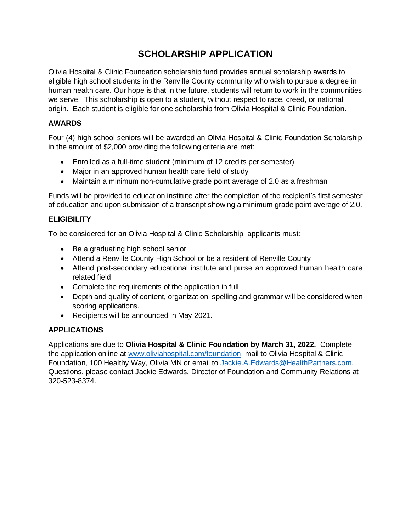# **SCHOLARSHIP APPLICATION**

Olivia Hospital & Clinic Foundation scholarship fund provides annual scholarship awards to eligible high school students in the Renville County community who wish to pursue a degree in human health care. Our hope is that in the future, students will return to work in the communities we serve. This scholarship is open to a student, without respect to race, creed, or national origin. Each student is eligible for one scholarship from Olivia Hospital & Clinic Foundation.

#### **AWARDS**

Four (4) high school seniors will be awarded an Olivia Hospital & Clinic Foundation Scholarship in the amount of \$2,000 providing the following criteria are met:

- Enrolled as a full-time student (minimum of 12 credits per semester)
- Major in an approved human health care field of study
- Maintain a minimum non-cumulative grade point average of 2.0 as a freshman

Funds will be provided to education institute after the completion of the recipient's first semester of education and upon submission of a transcript showing a minimum grade point average of 2.0.

### **ELIGIBILITY**

To be considered for an Olivia Hospital & Clinic Scholarship, applicants must:

- Be a graduating high school senior
- Attend a Renville County High School or be a resident of Renville County
- Attend post-secondary educational institute and purse an approved human health care related field
- Complete the requirements of the application in full
- Depth and quality of content, organization, spelling and grammar will be considered when scoring applications.
- Recipients will be announced in May 2021.

# **APPLICATIONS**

Applications are due to **Olivia Hospital & Clinic Foundation by March 31, 2022.** Complete the application online at [www.oliviahospital.com/foundation,](http://www.oliviahospital.com/foundation) mail to Olivia Hospital & Clinic Foundation, 100 Healthy Way, Olivia MN or email to [Jackie.A.Edwards@HealthPartners.com.](mailto:Jackie.A.Edwards@HealthPartners.com) Questions, please contact Jackie Edwards, Director of Foundation and Community Relations at 320-523-8374.